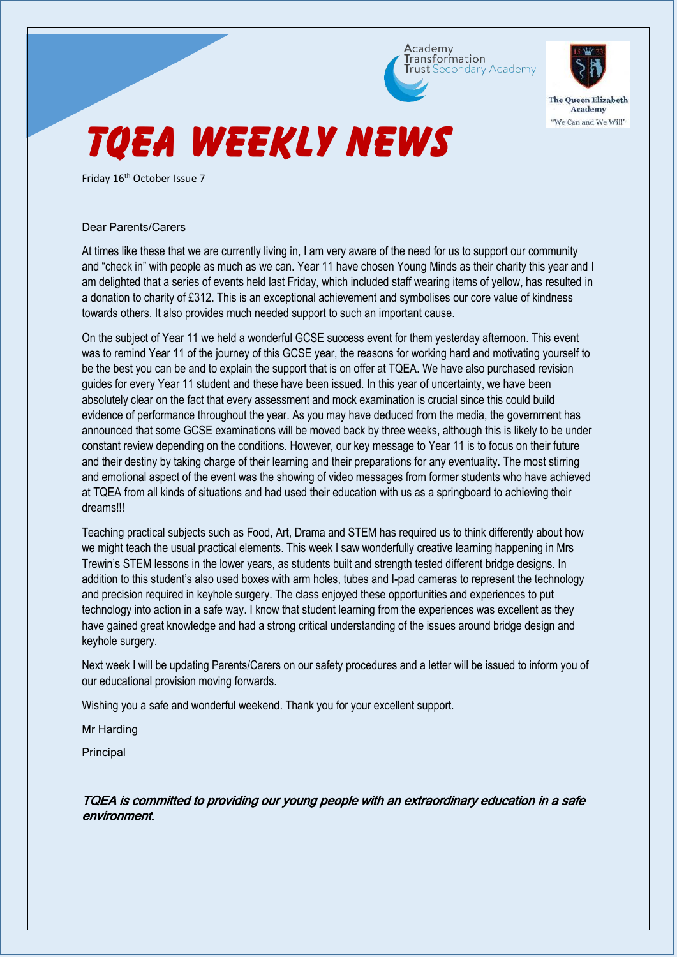



"We Can and We Will"

# **TQEA WEEKLY NEWS**

Friday 16<sup>th</sup> October Issue 7

### Dear Parents/Carers

At times like these that we are currently living in, I am very aware of the need for us to support our community and "check in" with people as much as we can. Year 11 have chosen Young Minds as their charity this year and I am delighted that a series of events held last Friday, which included staff wearing items of yellow, has resulted in a donation to charity of £312. This is an exceptional achievement and symbolises our core value of kindness towards others. It also provides much needed support to such an important cause.

On the subject of Year 11 we held a wonderful GCSE success event for them yesterday afternoon. This event was to remind Year 11 of the journey of this GCSE year, the reasons for working hard and motivating yourself to be the best you can be and to explain the support that is on offer at TQEA. We have also purchased revision guides for every Year 11 student and these have been issued. In this year of uncertainty, we have been absolutely clear on the fact that every assessment and mock examination is crucial since this could build evidence of performance throughout the year. As you may have deduced from the media, the government has announced that some GCSE examinations will be moved back by three weeks, although this is likely to be under constant review depending on the conditions. However, our key message to Year 11 is to focus on their future and their destiny by taking charge of their learning and their preparations for any eventuality. The most stirring and emotional aspect of the event was the showing of video messages from former students who have achieved at TQEA from all kinds of situations and had used their education with us as a springboard to achieving their dreams!!!

Teaching practical subjects such as Food, Art, Drama and STEM has required us to think differently about how we might teach the usual practical elements. This week I saw wonderfully creative learning happening in Mrs Trewin's STEM lessons in the lower years, as students built and strength tested different bridge designs. In addition to this student's also used boxes with arm holes, tubes and I-pad cameras to represent the technology and precision required in keyhole surgery. The class enjoyed these opportunities and experiences to put technology into action in a safe way. I know that student learning from the experiences was excellent as they have gained great knowledge and had a strong critical understanding of the issues around bridge design and keyhole surgery.

Next week I will be updating Parents/Carers on our safety procedures and a letter will be issued to inform you of our educational provision moving forwards.

Wishing you a safe and wonderful weekend. Thank you for your excellent support.

Mr Harding

Principal

### TQEA is committed to providing our young people with an extraordinary education in a safe environment.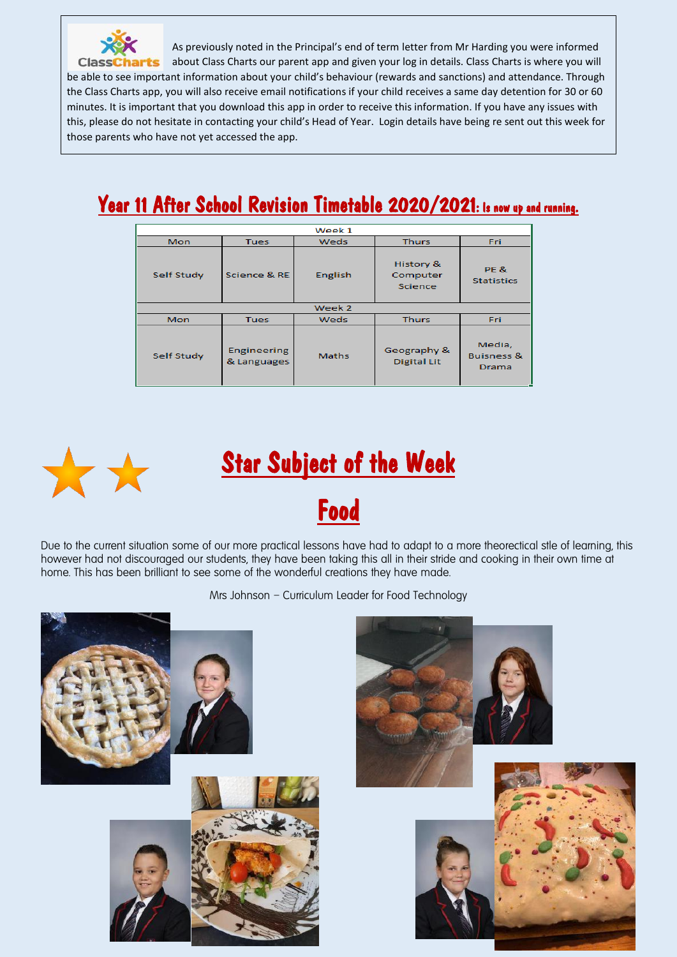

As previously noted in the Principal's end of term letter from Mr Harding you were informed about Class Charts our parent app and given your log in details. Class Charts is where you will be able to see important information about your child's behaviour (rewards and sanctions) and attendance. Through the Class Charts app, you will also receive email notifications if your child receives a same day detention for 30 or 60 minutes. It is important that you download this app in order to receive this information. If you have any issues with this, please do not hesitate in contacting your child's Head of Year. Login details have being re sent out this week for those parents who have not yet accessed the app.

## Year 11 After School Revision Timetable 2020/2021: Is now up and running.

| Week 1     |                                   |         |                                         |                                          |  |  |  |  |
|------------|-----------------------------------|---------|-----------------------------------------|------------------------------------------|--|--|--|--|
| Mon        | <b>Tues</b>                       | Weds    | <b>Thurs</b>                            | Fri.                                     |  |  |  |  |
| Self Study | Science & RE                      | English | History &<br>Computer<br><b>Science</b> | <b>PE &amp;</b><br><b>Statistics</b>     |  |  |  |  |
| Week 2     |                                   |         |                                         |                                          |  |  |  |  |
| Mon        | <b>Tues</b>                       | Weds    | <b>Thurs</b>                            | <b>Fri</b>                               |  |  |  |  |
| Self Study | <b>Engineering</b><br>& Languages | Maths   | Geography &<br><b>Digital Lit</b>       | Media,<br><b>Buisness &amp;</b><br>Drama |  |  |  |  |





Due to the current situation some of our more practical lessons have had to adapt to a more theorectical stle of learning, this however had not discouraged our students, they have been taking this all in their stride and cooking in their own time at home. This has been brilliant to see some of the wonderful creations they have made.

Mrs Johnson – Curriculum Leader for Food Technology

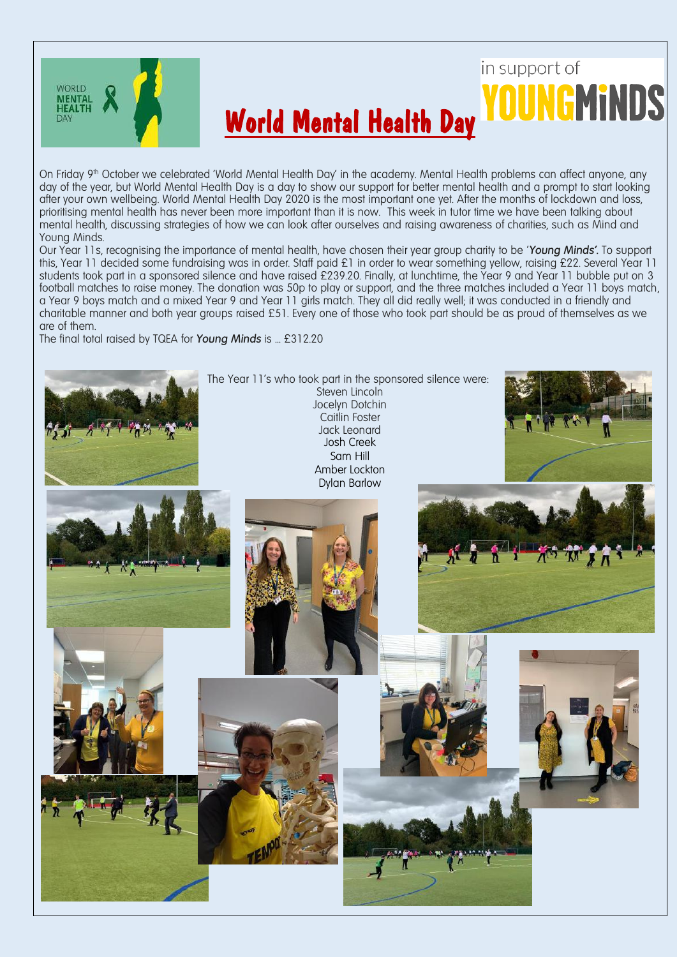

# in support of World Mental Health Day

On Friday 9<sup>th</sup> October we celebrated 'World Mental Health Day' in the academy. Mental Health problems can affect anyone, any day of the year, but World Mental Health Day is a day to show our support for better mental health and a prompt to start looking after your own wellbeing. World Mental Health Day 2020 is the most important one yet. After the months of lockdown and loss, prioritising mental health has never been more important than it is now. This week in tutor time we have been talking about mental health, discussing strategies of how we can look after ourselves and raising awareness of charities, such as Mind and Young Minds.

Our Year 11s, recognising the importance of mental health, have chosen their year group charity to be '*Young Minds'.* To support this, Year 11 decided some fundraising was in order. Staff paid £1 in order to wear something yellow, raising £22. Several Year 11 students took part in a sponsored silence and have raised £239.20. Finally, at lunchtime, the Year 9 and Year 11 bubble put on 3 football matches to raise money. The donation was 50p to play or support, and the three matches included a Year 11 boys match, a Year 9 boys match and a mixed Year 9 and Year 11 girls match. They all did really well; it was conducted in a friendly and charitable manner and both year groups raised £51. Every one of those who took part should be as proud of themselves as we are of them.

The final total raised by TQEA for *Young Minds* is ... £312.20

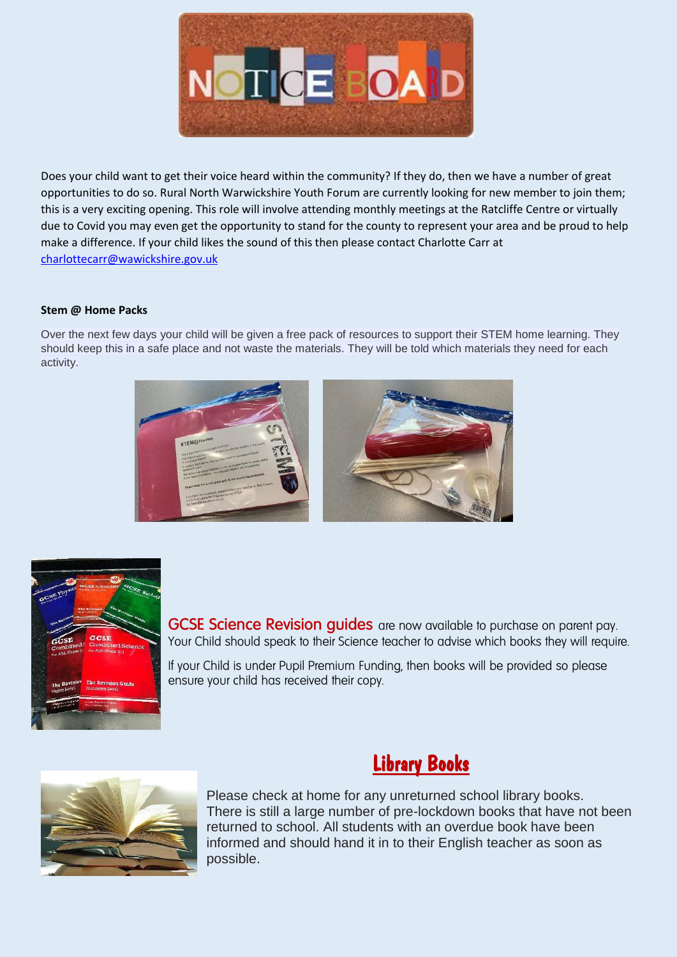

Does your child want to get their voice heard within the community? If they do, then we have a number of great opportunities to do so. Rural North Warwickshire Youth Forum are currently looking for new member to join them; this is a very exciting opening. This role will involve attending monthly meetings at the Ratcliffe Centre or virtually due to Covid you may even get the opportunity to stand for the county to represent your area and be proud to help make a difference. If your child likes the sound of this then please contact Charlotte Carr at [charlottecarr@wawickshire.gov.uk](mailto:charlottecarr@wawickshire.gov.uk)

### **Stem @ Home Packs**

Over the next few days your child will be given a free pack of resources to support their STEM home learning. They should keep this in a safe place and not waste the materials. They will be told which materials they need for each activity.





**GCSE Science Revision guides** are now available to purchase on parent pay. Your Child should speak to their Science teacher to advise which books they will require.

If your Child is under Pupil Premium Funding, then books will be provided so please ensure your child has received their copy.





Please check at home for any unreturned school library books. There is still a large number of pre-lockdown books that have not been returned to school. All students with an overdue book have been informed and should hand it in to their English teacher as soon as possible.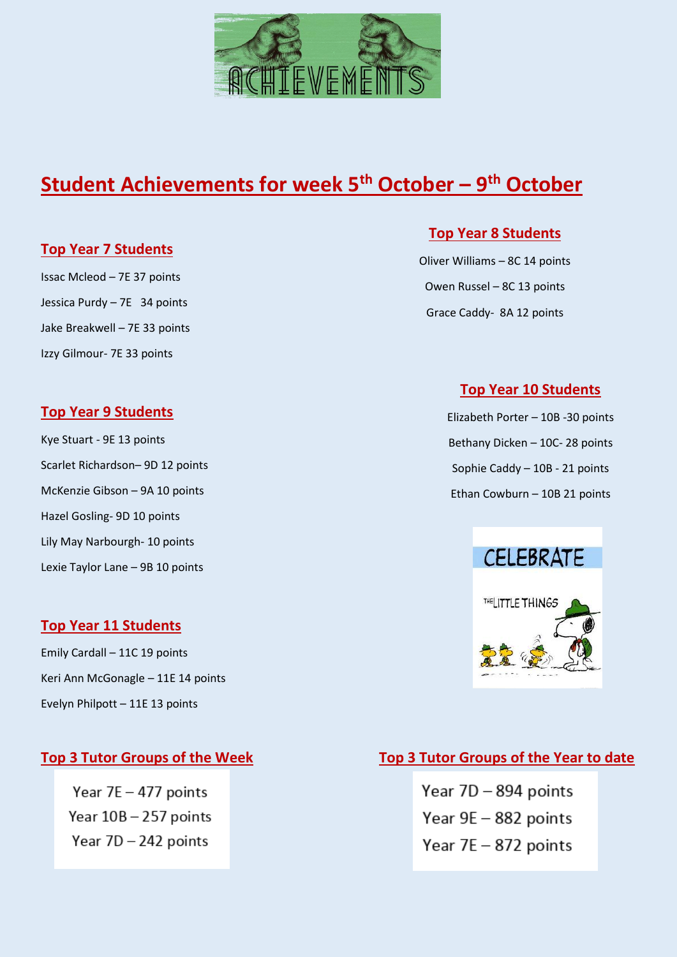

## **Student Achievements for week 5 th October – 9 th October**

### **Top Year 7 Students**

Issac Mcleod – 7E 37 points Jessica Purdy – 7E 34 points Jake Breakwell – 7E 33 points Izzy Gilmour- 7E 33 points

### **Top Year 9 Students**

Kye Stuart - 9E 13 points Scarlet Richardson– 9D 12 points McKenzie Gibson – 9A 10 points Hazel Gosling- 9D 10 points Lily May Narbourgh- 10 points Lexie Taylor Lane – 9B 10 points

### **Top Year 11 Students**

Emily Cardall – 11C 19 points Keri Ann McGonagle – 11E 14 points Evelyn Philpott – 11E 13 points

Year 7E - 477 points Year 10B - 257 points Year 7D - 242 points

### **Top Year 8 Students**

Oliver Williams – 8C 14 points Owen Russel – 8C 13 points Grace Caddy- 8A 12 points

### **Top Year 10 Students**

Elizabeth Porter – 10B -30 points Bethany Dicken – 10C- 28 points Sophie Caddy – 10B - 21 points Ethan Cowburn – 10B 21 points



### **Top 3 Tutor Groups of the Week Top 3 Tutor Groups of the Year to date**

Year 7D - 894 points Year 9E - 882 points Year 7E - 872 points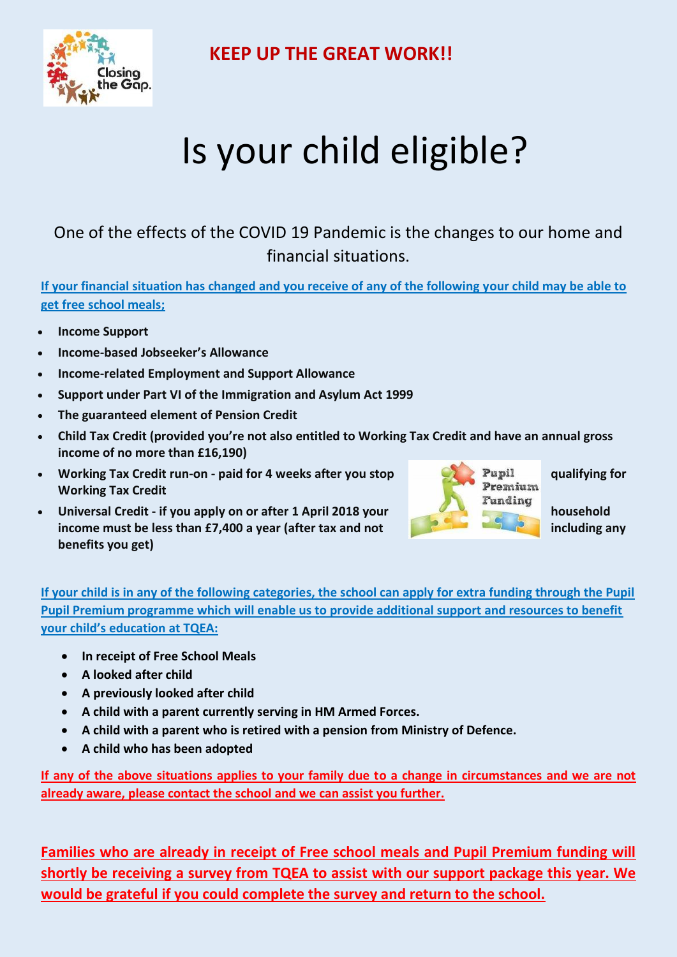

 **KEEP UP THE GREAT WORK!!**

# Is your child eligible?

## One of the effects of the COVID 19 Pandemic is the changes to our home and financial situations.

**If your financial situation has changed and you receive of any of the following your child may be able to get free school meals;** 

- **Income Support**
- **Income-based Jobseeker's Allowance**
- **Income-related Employment and Support Allowance**
- **Support under Part VI of the Immigration and Asylum Act 1999**
- **The guaranteed element of Pension Credit**
- **Child Tax Credit (provided you're not also entitled to Working Tax Credit and have an annual gross income of no more than £16,190)**
- **Working Tax Credit run-on paid for 4 weeks after you stop and a straight of Pupil and Auditying for a straight of the Merking Tay Credit Working Tax Credit**
- **EXECUTE:** Universal Credit if you apply on or after 1 April 2018 your **the state of the state of the state of the state of the state of the state of the state of the state of the state of the state of the state of the s income must be less than £7,400 a year (after tax and not including any lincluding any benefits you get)**



**If your child is in any of the following categories, the school can apply for extra funding through the Pupil Pupil Premium programme which will enable us to provide additional support and resources to benefit your child's education at TQEA:**

- **In receipt of Free School Meals**
- **A looked after child**
- **A previously looked after child**
- **A child with a parent currently serving in HM Armed Forces.**
- **A child with a parent who is retired with a pension from Ministry of Defence.**
- **A child who has been adopted**

**If any of the above situations applies to your family due to a change in circumstances and we are not already aware, please contact the school and we can assist you further.**

**Families who are already in receipt of Free school meals and Pupil Premium funding will shortly be receiving a survey from TQEA to assist with our support package this year. We would be grateful if you could complete the survey and return to the school.**